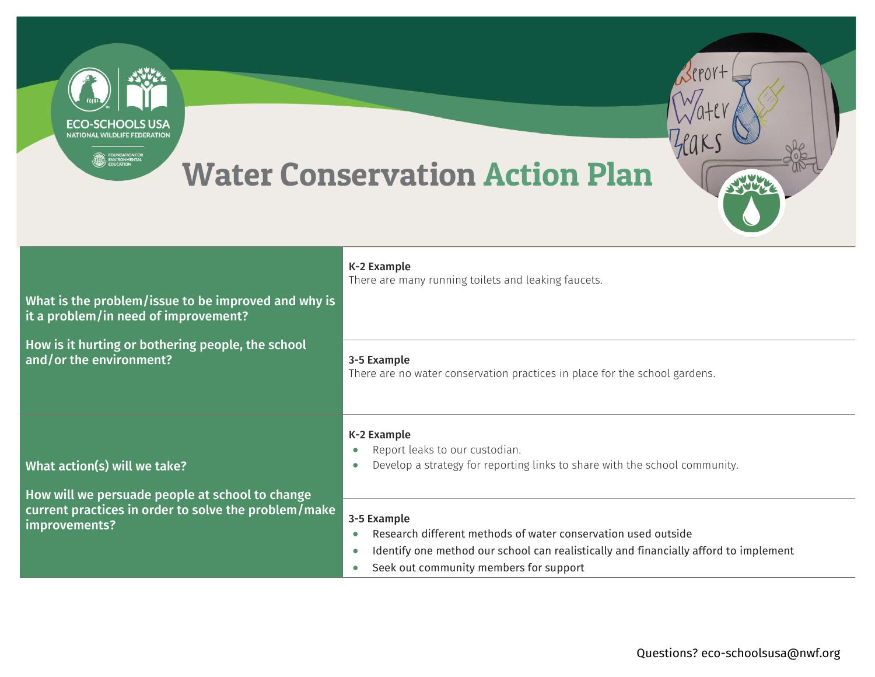| ECO-SCHOOLS USA<br><b>NATIONAL WILDLIFE FEDERATION</b>                                      | <b>Water Conservation Action Plan</b>                                                                                                                                                                                                    |
|---------------------------------------------------------------------------------------------|------------------------------------------------------------------------------------------------------------------------------------------------------------------------------------------------------------------------------------------|
| What is the problem/issue to be improved and why is<br>it a problem/in need of improvement? | K-2 Example<br>There are many running toilets and leaking faucets.                                                                                                                                                                       |
| How is it hurting or bothering people, the school<br>and/or the environment?                | 3-5 Example<br>There are no water conservation practices in place for the school gardens.                                                                                                                                                |
| What action(s) will we take?<br>How will we persuade people at school to change             | K-2 Example<br>Report leaks to our custodian.<br>Develop a strategy for reporting links to share with the school community.<br>$\bullet$                                                                                                 |
| current practices in order to solve the problem/make<br>improvements?                       | 3-5 Example<br>Research different methods of water conservation used outside<br>Identify one method our school can realistically and financially afford to implement<br>$\bullet$<br>Seek out community members for support<br>$\bullet$ |